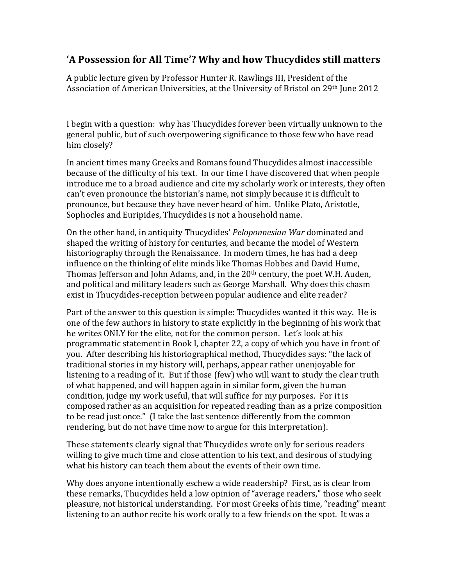## **'A Possession for All Time'? Why and how Thucydides still matters**

A public lecture given by Professor Hunter R. Rawlings III, President of the Association of American Universities, at the University of Bristol on 29th June 2012

I begin with a question: why has Thucydides forever been virtually unknown to the general public, but of such overpowering significance to those few who have read him closely?

In ancient times many Greeks and Romans found Thucydides almost inaccessible because of the difficulty of his text. In our time I have discovered that when people introduce me to a broad audience and cite my scholarly work or interests, they often can't even pronounce the historian's name, not simply because it is difficult to pronounce, but because they have never heard of him. Unlike Plato, Aristotle, Sophocles and Euripides, Thucydides is not a household name.

On the other hand, in antiquity Thucydides' *Peloponnesian War* dominated and shaped the writing of history for centuries, and became the model of Western historiography through the Renaissance. In modern times, he has had a deep influence on the thinking of elite minds like Thomas Hobbes and David Hume, Thomas Jefferson and John Adams, and, in the 20<sup>th</sup> century, the poet W.H. Auden, and political and military leaders such as George Marshall. Why does this chasm exist in Thucydides-reception between popular audience and elite reader?

Part of the answer to this question is simple: Thucydides wanted it this way. He is one of the few authors in history to state explicitly in the beginning of his work that he writes ONLY for the elite, not for the common person. Let's look at his programmatic statement in Book I, chapter 22, a copy of which you have in front of you. After describing his historiographical method, Thucydides says: "the lack of traditional stories in my history will, perhaps, appear rather unenjoyable for listening to a reading of it. But if those (few) who will want to study the clear truth of what happened, and will happen again in similar form, given the human condition, judge my work useful, that will suffice for my purposes. For it is composed rather as an acquisition for repeated reading than as a prize composition to be read just once." (I take the last sentence differently from the common rendering, but do not have time now to argue for this interpretation).

These statements clearly signal that Thucydides wrote only for serious readers willing to give much time and close attention to his text, and desirous of studying what his history can teach them about the events of their own time.

Why does anyone intentionally eschew a wide readership? First, as is clear from these remarks, Thucydides held a low opinion of "average readers," those who seek pleasure, not historical understanding. For most Greeks of his time, "reading" meant listening to an author recite his work orally to a few friends on the spot. It was a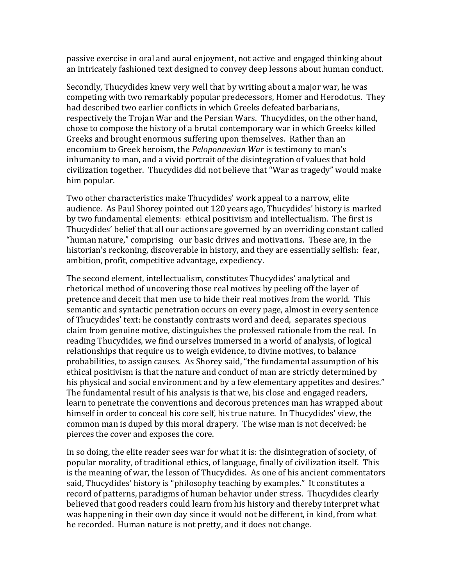passive exercise in oral and aural enjoyment, not active and engaged thinking about an intricately fashioned text designed to convey deep lessons about human conduct.

Secondly, Thucydides knew very well that by writing about a major war, he was competing with two remarkably popular predecessors, Homer and Herodotus. They had described two earlier conflicts in which Greeks defeated barbarians, respectively the Trojan War and the Persian Wars. Thucydides, on the other hand, chose to compose the history of a brutal contemporary war in which Greeks killed Greeks and brought enormous suffering upon themselves. Rather than an encomium to Greek heroism, the *Peloponnesian War* is testimony to man's inhumanity to man, and a vivid portrait of the disintegration of values that hold civilization together. Thucydides did not believe that "War as tragedy" would make him popular.

Two other characteristics make Thucydides' work appeal to a narrow, elite audience. As Paul Shorey pointed out 120 years ago, Thucydides' history is marked by two fundamental elements: ethical positivism and intellectualism. The first is Thucydides' belief that all our actions are governed by an overriding constant called "human nature," comprising our basic drives and motivations. These are, in the historian's reckoning, discoverable in history, and they are essentially selfish: fear, ambition, profit, competitive advantage, expediency.

The second element, intellectualism, constitutes Thucydides' analytical and rhetorical method of uncovering those real motives by peeling off the layer of pretence and deceit that men use to hide their real motives from the world. This semantic and syntactic penetration occurs on every page, almost in every sentence of Thucydides' text: he constantly contrasts word and deed, separates specious claim from genuine motive, distinguishes the professed rationale from the real. In reading Thucydides, we find ourselves immersed in a world of analysis, of logical relationships that require us to weigh evidence, to divine motives, to balance probabilities, to assign causes. As Shorey said, "the fundamental assumption of his ethical positivism is that the nature and conduct of man are strictly determined by his physical and social environment and by a few elementary appetites and desires." The fundamental result of his analysis is that we, his close and engaged readers, learn to penetrate the conventions and decorous pretences man has wrapped about himself in order to conceal his core self, his true nature. In Thucydides' view, the common man is duped by this moral drapery. The wise man is not deceived: he pierces the cover and exposes the core.

In so doing, the elite reader sees war for what it is: the disintegration of society, of popular morality, of traditional ethics, of language, finally of civilization itself. This is the meaning of war, the lesson of Thucydides. As one of his ancient commentators said, Thucydides' history is "philosophy teaching by examples." It constitutes a record of patterns, paradigms of human behavior under stress. Thucydides clearly believed that good readers could learn from his history and thereby interpret what was happening in their own day since it would not be different, in kind, from what he recorded. Human nature is not pretty, and it does not change.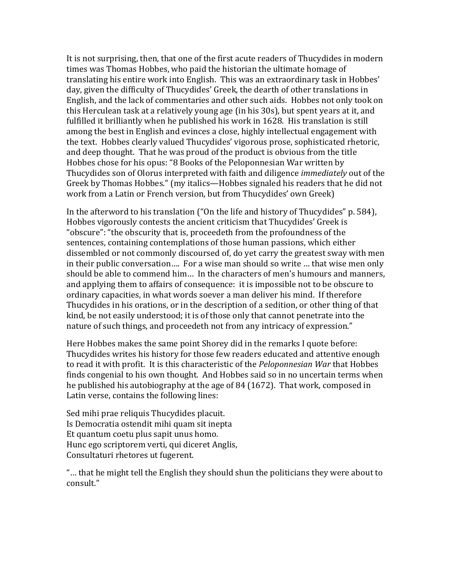It is not surprising, then, that one of the first acute readers of Thucydides in modern times was Thomas Hobbes, who paid the historian the ultimate homage of translating his entire work into English. This was an extraordinary task in Hobbes' day, given the difficulty of Thucydides' Greek, the dearth of other translations in English, and the lack of commentaries and other such aids. Hobbes not only took on this Herculean task at a relatively young age (in his 30s), but spent years at it, and fulfilled it brilliantly when he published his work in 1628. His translation is still among the best in English and evinces a close, highly intellectual engagement with the text. Hobbes clearly valued Thucydides' vigorous prose, sophisticated rhetoric, and deep thought. That he was proud of the product is obvious from the title Hobbes chose for his opus: "8 Books of the Peloponnesian War written by Thucydides son of Olorus interpreted with faith and diligence *immediately* out of the Greek by Thomas Hobbes." (my italics—Hobbes signaled his readers that he did not work from a Latin or French version, but from Thucydides' own Greek)

In the afterword to his translation ("On the life and history of Thucydides" p. 584), Hobbes vigorously contests the ancient criticism that Thucydides' Greek is "obscure": "the obscurity that is, proceedeth from the profoundness of the sentences, containing contemplations of those human passions, which either dissembled or not commonly discoursed of, do yet carry the greatest sway with men in their public conversation…. For a wise man should so write … that wise men only should be able to commend him… In the characters of men's humours and manners, and applying them to affairs of consequence: it is impossible not to be obscure to ordinary capacities, in what words soever a man deliver his mind. If therefore Thucydides in his orations, or in the description of a sedition, or other thing of that kind, be not easily understood; it is of those only that cannot penetrate into the nature of such things, and proceedeth not from any intricacy of expression."

Here Hobbes makes the same point Shorey did in the remarks I quote before: Thucydides writes his history for those few readers educated and attentive enough to read it with profit. It is this characteristic of the *Peloponnesian War* that Hobbes finds congenial to his own thought. And Hobbes said so in no uncertain terms when he published his autobiography at the age of 84 (1672). That work, composed in Latin verse, contains the following lines:

Sed mihi prae reliquis Thucydides placuit. Is Democratia ostendit mihi quam sit inepta Et quantum coetu plus sapit unus homo. Hunc ego scriptorem verti, qui diceret Anglis, Consultaturi rhetores ut fugerent.

"… that he might tell the English they should shun the politicians they were about to consult."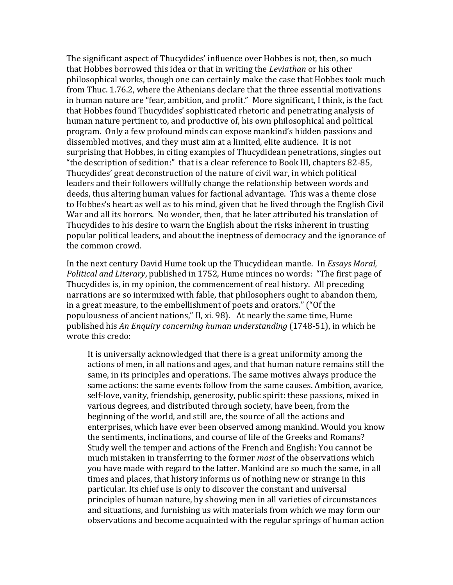The significant aspect of Thucydides' influence over Hobbes is not, then, so much that Hobbes borrowed this idea or that in writing the *Leviathan* or his other philosophical works, though one can certainly make the case that Hobbes took much from Thuc. 1.76.2, where the Athenians declare that the three essential motivations in human nature are "fear, ambition, and profit." More significant, I think, is the fact that Hobbes found Thucydides' sophisticated rhetoric and penetrating analysis of human nature pertinent to, and productive of, his own philosophical and political program. Only a few profound minds can expose mankind's hidden passions and dissembled motives, and they must aim at a limited, elite audience. It is not surprising that Hobbes, in citing examples of Thucydidean penetrations, singles out "the description of sedition:" that is a clear reference to Book III, chapters 82-85, Thucydides' great deconstruction of the nature of civil war, in which political leaders and their followers willfully change the relationship between words and deeds, thus altering human values for factional advantage. This was a theme close to Hobbes's heart as well as to his mind, given that he lived through the English Civil War and all its horrors. No wonder, then, that he later attributed his translation of Thucydides to his desire to warn the English about the risks inherent in trusting popular political leaders, and about the ineptness of democracy and the ignorance of the common crowd.

In the next century David Hume took up the Thucydidean mantle. In *Essays Moral, Political and Literary*, published in 1752, Hume minces no words: "The first page of Thucydides is, in my opinion, the commencement of real history. All preceding narrations are so intermixed with fable, that philosophers ought to abandon them, in a great measure, to the embellishment of poets and orators." ("Of the populousness of ancient nations," II, xi. 98). At nearly the same time, Hume published his *An Enquiry concerning human understanding* (1748-51), in which he wrote this credo:

It is universally acknowledged that there is a great uniformity among the actions of men, in all nations and ages, and that human nature remains still the same, in its principles and operations. The same motives always produce the same actions: the same events follow from the same causes. Ambition, avarice, self-love, vanity, friendship, generosity, public spirit: these passions, mixed in various degrees, and distributed through society, have been, from the beginning of the world, and still are, the source of all the actions and enterprises, which have ever been observed among mankind. Would you know the sentiments, inclinations, and course of life of the Greeks and Romans? Study well the temper and actions of the French and English: You cannot be much mistaken in transferring to the former *most* of the observations which you have made with regard to the latter. Mankind are so much the same, in all times and places, that history informs us of nothing new or strange in this particular. Its chief use is only to discover the constant and universal principles of human nature, by showing men in all varieties of circumstances and situations, and furnishing us with materials from which we may form our observations and become acquainted with the regular springs of human action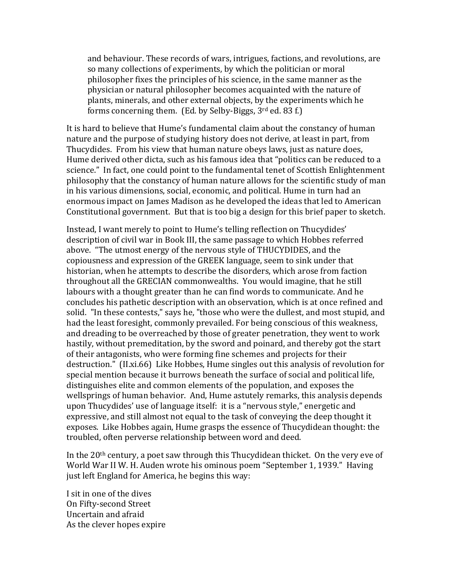and behaviour. These records of wars, intrigues, factions, and revolutions, are so many collections of experiments, by which the politician or moral philosopher fixes the principles of his science, in the same manner as the physician or natural philosopher becomes acquainted with the nature of plants, minerals, and other external objects, by the experiments which he forms concerning them. (Ed. by Selby-Biggs, 3rd ed. 83 f.)

It is hard to believe that Hume's fundamental claim about the constancy of human nature and the purpose of studying history does not derive, at least in part, from Thucydides. From his view that human nature obeys laws, just as nature does, Hume derived other dicta, such as his famous idea that "politics can be reduced to a science." In fact, one could point to the fundamental tenet of Scottish Enlightenment philosophy that the constancy of human nature allows for the scientific study of man in his various dimensions, social, economic, and political. Hume in turn had an enormous impact on James Madison as he developed the ideas that led to American Constitutional government. But that is too big a design for this brief paper to sketch.

Instead, I want merely to point to Hume's telling reflection on Thucydides' description of civil war in Book III, the same passage to which Hobbes referred above. "The utmost energy of the nervous style of THUCYDIDES, and the copiousness and expression of the GREEK language, seem to sink under that historian, when he attempts to describe the disorders, which arose from faction throughout all the GRECIAN commonwealths. You would imagine, that he still labours with a thought greater than he can find words to communicate. And he concludes his pathetic description with an observation, which is at once refined and solid. "In these contests," says he, "those who were the dullest, and most stupid, and had the least foresight, commonly prevailed. For being conscious of this weakness, and dreading to be overreached by those of greater penetration, they went to work hastily, without premeditation, by the sword and poinard, and thereby got the start of their antagonists, who were forming fine schemes and projects for their destruction." (II.xi.66) Like Hobbes, Hume singles out this analysis of revolution for special mention because it burrows beneath the surface of social and political life, distinguishes elite and common elements of the population, and exposes the wellsprings of human behavior. And, Hume astutely remarks, this analysis depends upon Thucydides' use of language itself: it is a "nervous style," energetic and expressive, and still almost not equal to the task of conveying the deep thought it exposes. Like Hobbes again, Hume grasps the essence of Thucydidean thought: the troubled, often perverse relationship between word and deed.

In the 20th century, a poet saw through this Thucydidean thicket. On the very eve of World War II W. H. Auden wrote his ominous poem "September 1, 1939." Having just left England for America, he begins this way:

I sit in one of the dives On Fifty-second Street Uncertain and afraid As the clever hopes expire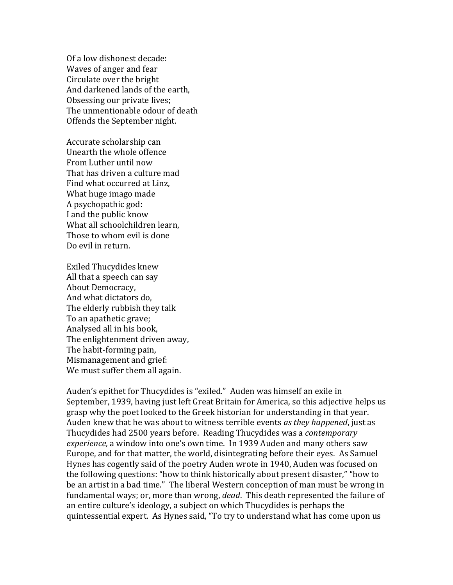Of a low dishonest decade: Waves of anger and fear Circulate over the bright And darkened lands of the earth, Obsessing our private lives; The unmentionable odour of death Offends the September night.

Accurate scholarship can Unearth the whole offence From Luther until now That has driven a culture mad Find what occurred at Linz, What huge imago made A psychopathic god: I and the public know What all schoolchildren learn. Those to whom evil is done Do evil in return.

Exiled Thucydides knew All that a speech can say About Democracy, And what dictators do, The elderly rubbish they talk To an apathetic grave; Analysed all in his book, The enlightenment driven away, The habit-forming pain, Mismanagement and grief: We must suffer them all again.

Auden's epithet for Thucydides is "exiled." Auden was himself an exile in September, 1939, having just left Great Britain for America, so this adjective helps us grasp why the poet looked to the Greek historian for understanding in that year. Auden knew that he was about to witness terrible events *as they happened*, just as Thucydides had 2500 years before. Reading Thucydides was a *contemporary experience,* a window into one's own time. In 1939 Auden and many others saw Europe, and for that matter, the world, disintegrating before their eyes. As Samuel Hynes has cogently said of the poetry Auden wrote in 1940, Auden was focused on the following questions: "how to think historically about present disaster," "how to be an artist in a bad time." The liberal Western conception of man must be wrong in fundamental ways; or, more than wrong, *dead*. This death represented the failure of an entire culture's ideology, a subject on which Thucydides is perhaps the quintessential expert. As Hynes said, "To try to understand what has come upon us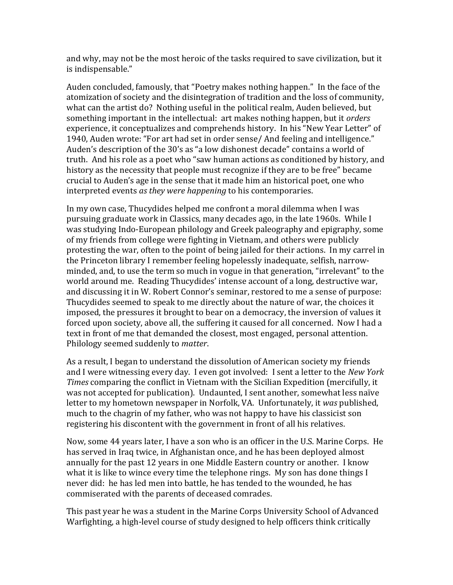and why, may not be the most heroic of the tasks required to save civilization, but it is indispensable."

Auden concluded, famously, that "Poetry makes nothing happen." In the face of the atomization of society and the disintegration of tradition and the loss of community, what can the artist do? Nothing useful in the political realm, Auden believed, but something important in the intellectual: art makes nothing happen, but it *orders* experience, it conceptualizes and comprehends history. In his "New Year Letter" of 1940, Auden wrote: "For art had set in order sense/ And feeling and intelligence." Auden's description of the 30's as "a low dishonest decade" contains a world of truth. And his role as a poet who "saw human actions as conditioned by history, and history as the necessity that people must recognize if they are to be free" became crucial to Auden's age in the sense that it made him an historical poet, one who interpreted events *as they were happening* to his contemporaries.

In my own case, Thucydides helped me confront a moral dilemma when I was pursuing graduate work in Classics, many decades ago, in the late 1960s. While I was studying Indo-European philology and Greek paleography and epigraphy, some of my friends from college were fighting in Vietnam, and others were publicly protesting the war, often to the point of being jailed for their actions. In my carrel in the Princeton library I remember feeling hopelessly inadequate, selfish, narrowminded, and, to use the term so much in vogue in that generation, "irrelevant" to the world around me. Reading Thucydides' intense account of a long, destructive war, and discussing it in W. Robert Connor's seminar, restored to me a sense of purpose: Thucydides seemed to speak to me directly about the nature of war, the choices it imposed, the pressures it brought to bear on a democracy, the inversion of values it forced upon society, above all, the suffering it caused for all concerned. Now I had a text in front of me that demanded the closest, most engaged, personal attention. Philology seemed suddenly to *matter*.

As a result, I began to understand the dissolution of American society my friends and I were witnessing every day. I even got involved: I sent a letter to the *New York Times* comparing the conflict in Vietnam with the Sicilian Expedition (mercifully, it was not accepted for publication). Undaunted, I sent another, somewhat less naïve letter to my hometown newspaper in Norfolk, VA. Unfortunately, it *was* published, much to the chagrin of my father, who was not happy to have his classicist son registering his discontent with the government in front of all his relatives.

Now, some 44 years later, I have a son who is an officer in the U.S. Marine Corps. He has served in Iraq twice, in Afghanistan once, and he has been deployed almost annually for the past 12 years in one Middle Eastern country or another. I know what it is like to wince every time the telephone rings. My son has done things I never did: he has led men into battle, he has tended to the wounded, he has commiserated with the parents of deceased comrades.

This past year he was a student in the Marine Corps University School of Advanced Warfighting, a high-level course of study designed to help officers think critically